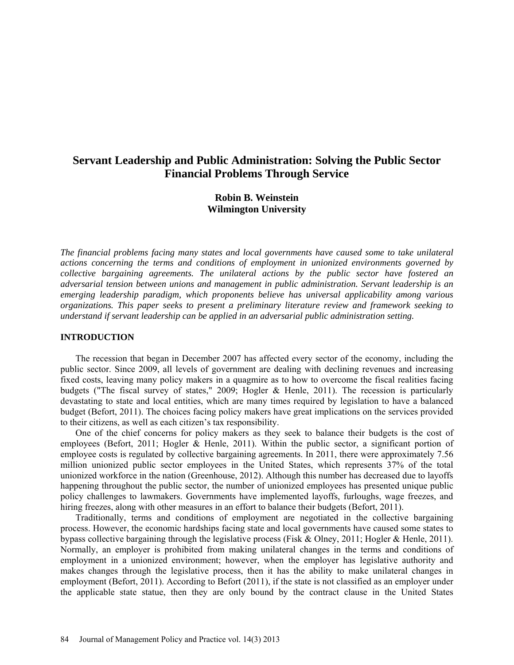# **Servant Leadership and Public Administration: Solving the Public Sector Financial Problems Through Service**

# **Robin B. Weinstein Wilmington University**

*The financial problems facing many states and local governments have caused some to take unilateral actions concerning the terms and conditions of employment in unionized environments governed by collective bargaining agreements. The unilateral actions by the public sector have fostered an adversarial tension between unions and management in public administration. Servant leadership is an emerging leadership paradigm, which proponents believe has universal applicability among various organizations. This paper seeks to present a preliminary literature review and framework seeking to understand if servant leadership can be applied in an adversarial public administration setting.*

### **INTRODUCTION**

The recession that began in December 2007 has affected every sector of the economy, including the public sector. Since 2009, all levels of government are dealing with declining revenues and increasing fixed costs, leaving many policy makers in a quagmire as to how to overcome the fiscal realities facing budgets ("The fiscal survey of states," 2009; Hogler & Henle, 2011). The recession is particularly devastating to state and local entities, which are many times required by legislation to have a balanced budget (Befort, 2011). The choices facing policy makers have great implications on the services provided to their citizens, as well as each citizen's tax responsibility.

One of the chief concerns for policy makers as they seek to balance their budgets is the cost of employees (Befort, 2011; Hogler & Henle, 2011). Within the public sector, a significant portion of employee costs is regulated by collective bargaining agreements. In 2011, there were approximately 7.56 million unionized public sector employees in the United States, which represents 37% of the total unionized workforce in the nation (Greenhouse, 2012). Although this number has decreased due to layoffs happening throughout the public sector, the number of unionized employees has presented unique public policy challenges to lawmakers. Governments have implemented layoffs, furloughs, wage freezes, and hiring freezes, along with other measures in an effort to balance their budgets (Befort, 2011).

Traditionally, terms and conditions of employment are negotiated in the collective bargaining process. However, the economic hardships facing state and local governments have caused some states to bypass collective bargaining through the legislative process (Fisk & Olney, 2011; Hogler & Henle, 2011). Normally, an employer is prohibited from making unilateral changes in the terms and conditions of employment in a unionized environment; however, when the employer has legislative authority and makes changes through the legislative process, then it has the ability to make unilateral changes in employment (Befort, 2011). According to Befort (2011), if the state is not classified as an employer under the applicable state statue, then they are only bound by the contract clause in the United States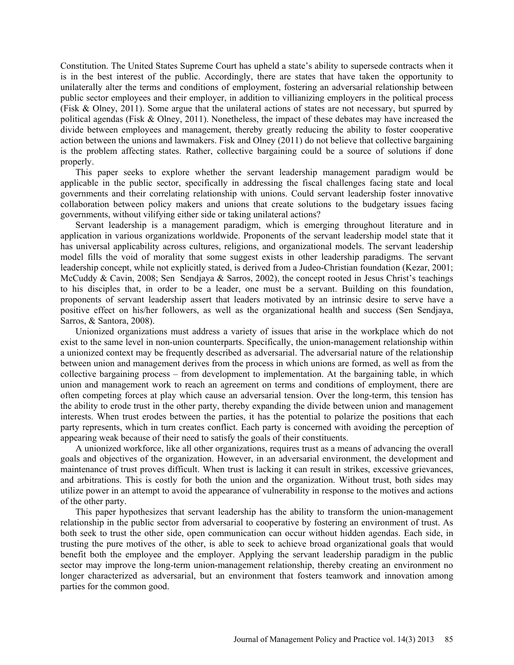Constitution. The United States Supreme Court has upheld a state's ability to supersede contracts when it is in the best interest of the public. Accordingly, there are states that have taken the opportunity to unilaterally alter the terms and conditions of employment, fostering an adversarial relationship between public sector employees and their employer, in addition to villianizing employers in the political process (Fisk & Olney, 2011). Some argue that the unilateral actions of states are not necessary, but spurred by political agendas (Fisk & Olney, 2011). Nonetheless, the impact of these debates may have increased the divide between employees and management, thereby greatly reducing the ability to foster cooperative action between the unions and lawmakers. Fisk and Olney (2011) do not believe that collective bargaining is the problem affecting states. Rather, collective bargaining could be a source of solutions if done properly.

This paper seeks to explore whether the servant leadership management paradigm would be applicable in the public sector, specifically in addressing the fiscal challenges facing state and local governments and their correlating relationship with unions. Could servant leadership foster innovative collaboration between policy makers and unions that create solutions to the budgetary issues facing governments, without vilifying either side or taking unilateral actions?

Servant leadership is a management paradigm, which is emerging throughout literature and in application in various organizations worldwide. Proponents of the servant leadership model state that it has universal applicability across cultures, religions, and organizational models. The servant leadership model fills the void of morality that some suggest exists in other leadership paradigms. The servant leadership concept, while not explicitly stated, is derived from a Judeo-Christian foundation (Kezar, 2001; McCuddy & Cavin, 2008; Sen Sendjaya & Sarros, 2002), the concept rooted in Jesus Christ's teachings to his disciples that, in order to be a leader, one must be a servant. Building on this foundation, proponents of servant leadership assert that leaders motivated by an intrinsic desire to serve have a positive effect on his/her followers, as well as the organizational health and success (Sen Sendjaya, Sarros, & Santora, 2008).

Unionized organizations must address a variety of issues that arise in the workplace which do not exist to the same level in non-union counterparts. Specifically, the union-management relationship within a unionized context may be frequently described as adversarial. The adversarial nature of the relationship between union and management derives from the process in which unions are formed, as well as from the collective bargaining process – from development to implementation. At the bargaining table, in which union and management work to reach an agreement on terms and conditions of employment, there are often competing forces at play which cause an adversarial tension. Over the long-term, this tension has the ability to erode trust in the other party, thereby expanding the divide between union and management interests. When trust erodes between the parties, it has the potential to polarize the positions that each party represents, which in turn creates conflict. Each party is concerned with avoiding the perception of appearing weak because of their need to satisfy the goals of their constituents.

A unionized workforce, like all other organizations, requires trust as a means of advancing the overall goals and objectives of the organization. However, in an adversarial environment, the development and maintenance of trust proves difficult. When trust is lacking it can result in strikes, excessive grievances, and arbitrations. This is costly for both the union and the organization. Without trust, both sides may utilize power in an attempt to avoid the appearance of vulnerability in response to the motives and actions of the other party.

This paper hypothesizes that servant leadership has the ability to transform the union-management relationship in the public sector from adversarial to cooperative by fostering an environment of trust. As both seek to trust the other side, open communication can occur without hidden agendas. Each side, in trusting the pure motives of the other, is able to seek to achieve broad organizational goals that would benefit both the employee and the employer. Applying the servant leadership paradigm in the public sector may improve the long-term union-management relationship, thereby creating an environment no longer characterized as adversarial, but an environment that fosters teamwork and innovation among parties for the common good.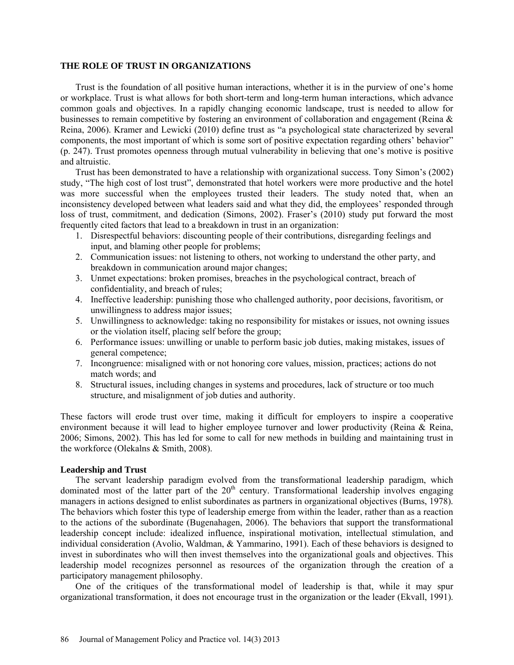### **THE ROLE OF TRUST IN ORGANIZATIONS**

Trust is the foundation of all positive human interactions, whether it is in the purview of one's home or workplace. Trust is what allows for both short-term and long-term human interactions, which advance common goals and objectives. In a rapidly changing economic landscape, trust is needed to allow for businesses to remain competitive by fostering an environment of collaboration and engagement (Reina & Reina, 2006). Kramer and Lewicki (2010) define trust as "a psychological state characterized by several components, the most important of which is some sort of positive expectation regarding others' behavior" (p. 247). Trust promotes openness through mutual vulnerability in believing that one's motive is positive and altruistic.

Trust has been demonstrated to have a relationship with organizational success. Tony Simon's (2002) study, "The high cost of lost trust", demonstrated that hotel workers were more productive and the hotel was more successful when the employees trusted their leaders. The study noted that, when an inconsistency developed between what leaders said and what they did, the employees' responded through loss of trust, commitment, and dedication (Simons, 2002). Fraser's (2010) study put forward the most frequently cited factors that lead to a breakdown in trust in an organization:

- 1. Disrespectful behaviors: discounting people of their contributions, disregarding feelings and input, and blaming other people for problems;
- 2. Communication issues: not listening to others, not working to understand the other party, and breakdown in communication around major changes;
- 3. Unmet expectations: broken promises, breaches in the psychological contract, breach of confidentiality, and breach of rules;
- 4. Ineffective leadership: punishing those who challenged authority, poor decisions, favoritism, or unwillingness to address major issues;
- 5. Unwillingness to acknowledge: taking no responsibility for mistakes or issues, not owning issues or the violation itself, placing self before the group;
- 6. Performance issues: unwilling or unable to perform basic job duties, making mistakes, issues of general competence;
- 7. Incongruence: misaligned with or not honoring core values, mission, practices; actions do not match words; and
- 8. Structural issues, including changes in systems and procedures, lack of structure or too much structure, and misalignment of job duties and authority.

These factors will erode trust over time, making it difficult for employers to inspire a cooperative environment because it will lead to higher employee turnover and lower productivity (Reina & Reina, 2006; Simons, 2002). This has led for some to call for new methods in building and maintaining trust in the workforce (Olekalns & Smith, 2008).

# **Leadership and Trust**

The servant leadership paradigm evolved from the transformational leadership paradigm, which dominated most of the latter part of the  $20<sup>th</sup>$  century. Transformational leadership involves engaging managers in actions designed to enlist subordinates as partners in organizational objectives (Burns, 1978). The behaviors which foster this type of leadership emerge from within the leader, rather than as a reaction to the actions of the subordinate (Bugenahagen, 2006). The behaviors that support the transformational leadership concept include: idealized influence, inspirational motivation, intellectual stimulation, and individual consideration (Avolio, Waldman, & Yammarino, 1991). Each of these behaviors is designed to invest in subordinates who will then invest themselves into the organizational goals and objectives. This leadership model recognizes personnel as resources of the organization through the creation of a participatory management philosophy.

One of the critiques of the transformational model of leadership is that, while it may spur organizational transformation, it does not encourage trust in the organization or the leader (Ekvall, 1991).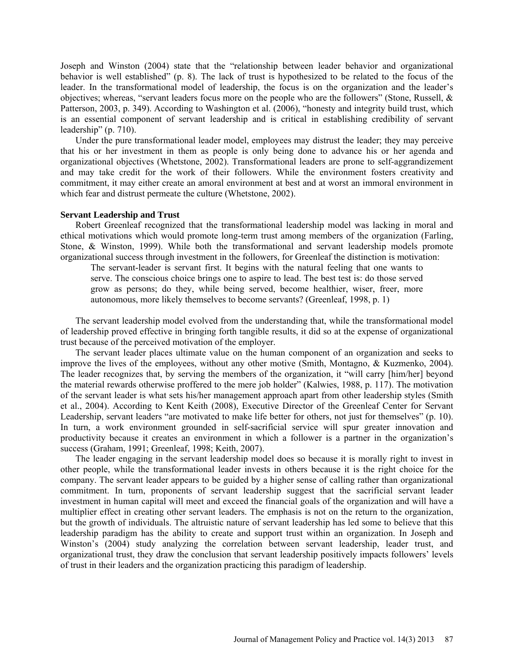Joseph and Winston (2004) state that the "relationship between leader behavior and organizational behavior is well established" (p. 8). The lack of trust is hypothesized to be related to the focus of the leader. In the transformational model of leadership, the focus is on the organization and the leader's objectives; whereas, "servant leaders focus more on the people who are the followers" (Stone, Russell, & Patterson, 2003, p. 349). According to Washington et al. (2006), "honesty and integrity build trust, which is an essential component of servant leadership and is critical in establishing credibility of servant leadership" (p. 710).

Under the pure transformational leader model, employees may distrust the leader; they may perceive that his or her investment in them as people is only being done to advance his or her agenda and organizational objectives (Whetstone, 2002). Transformational leaders are prone to self-aggrandizement and may take credit for the work of their followers. While the environment fosters creativity and commitment, it may either create an amoral environment at best and at worst an immoral environment in which fear and distrust permeate the culture (Whetstone, 2002).

#### **Servant Leadership and Trust**

Robert Greenleaf recognized that the transformational leadership model was lacking in moral and ethical motivations which would promote long-term trust among members of the organization (Farling, Stone, & Winston, 1999). While both the transformational and servant leadership models promote organizational success through investment in the followers, for Greenleaf the distinction is motivation:

The servant-leader is servant first. It begins with the natural feeling that one wants to serve. The conscious choice brings one to aspire to lead. The best test is: do those served grow as persons; do they, while being served, become healthier, wiser, freer, more autonomous, more likely themselves to become servants? (Greenleaf, 1998, p. 1)

The servant leadership model evolved from the understanding that, while the transformational model of leadership proved effective in bringing forth tangible results, it did so at the expense of organizational trust because of the perceived motivation of the employer.

The servant leader places ultimate value on the human component of an organization and seeks to improve the lives of the employees, without any other motive (Smith, Montagno, & Kuzmenko, 2004). The leader recognizes that, by serving the members of the organization, it "will carry [him/her] beyond the material rewards otherwise proffered to the mere job holder" (Kalwies, 1988, p. 117). The motivation of the servant leader is what sets his/her management approach apart from other leadership styles (Smith et al., 2004). According to Kent Keith (2008), Executive Director of the Greenleaf Center for Servant Leadership, servant leaders "are motivated to make life better for others, not just for themselves" (p. 10). In turn, a work environment grounded in self-sacrificial service will spur greater innovation and productivity because it creates an environment in which a follower is a partner in the organization's success (Graham, 1991; Greenleaf, 1998; Keith, 2007).

The leader engaging in the servant leadership model does so because it is morally right to invest in other people, while the transformational leader invests in others because it is the right choice for the company. The servant leader appears to be guided by a higher sense of calling rather than organizational commitment. In turn, proponents of servant leadership suggest that the sacrificial servant leader investment in human capital will meet and exceed the financial goals of the organization and will have a multiplier effect in creating other servant leaders. The emphasis is not on the return to the organization, but the growth of individuals. The altruistic nature of servant leadership has led some to believe that this leadership paradigm has the ability to create and support trust within an organization. In Joseph and Winston's (2004) study analyzing the correlation between servant leadership, leader trust, and organizational trust, they draw the conclusion that servant leadership positively impacts followers' levels of trust in their leaders and the organization practicing this paradigm of leadership.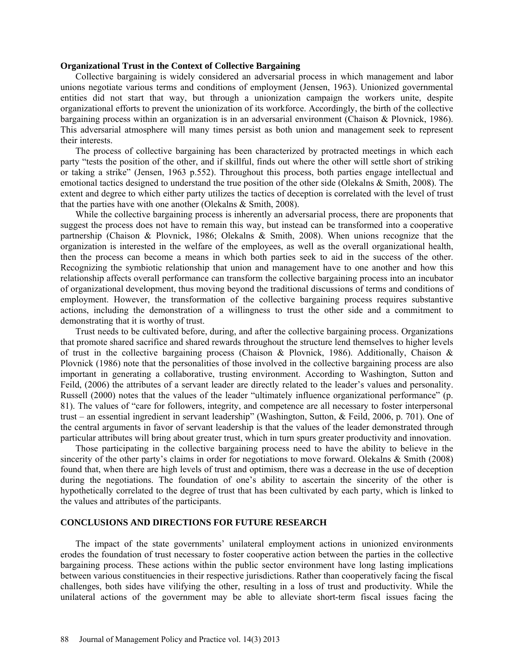#### **Organizational Trust in the Context of Collective Bargaining**

Collective bargaining is widely considered an adversarial process in which management and labor unions negotiate various terms and conditions of employment (Jensen, 1963). Unionized governmental entities did not start that way, but through a unionization campaign the workers unite, despite organizational efforts to prevent the unionization of its workforce. Accordingly, the birth of the collective bargaining process within an organization is in an adversarial environment (Chaison & Plovnick, 1986). This adversarial atmosphere will many times persist as both union and management seek to represent their interests.

The process of collective bargaining has been characterized by protracted meetings in which each party "tests the position of the other, and if skillful, finds out where the other will settle short of striking or taking a strike" (Jensen, 1963 p.552). Throughout this process, both parties engage intellectual and emotional tactics designed to understand the true position of the other side (Olekalns & Smith, 2008). The extent and degree to which either party utilizes the tactics of deception is correlated with the level of trust that the parties have with one another (Olekalns & Smith, 2008).

While the collective bargaining process is inherently an adversarial process, there are proponents that suggest the process does not have to remain this way, but instead can be transformed into a cooperative partnership (Chaison & Plovnick, 1986; Olekalns & Smith, 2008). When unions recognize that the organization is interested in the welfare of the employees, as well as the overall organizational health, then the process can become a means in which both parties seek to aid in the success of the other. Recognizing the symbiotic relationship that union and management have to one another and how this relationship affects overall performance can transform the collective bargaining process into an incubator of organizational development, thus moving beyond the traditional discussions of terms and conditions of employment. However, the transformation of the collective bargaining process requires substantive actions, including the demonstration of a willingness to trust the other side and a commitment to demonstrating that it is worthy of trust.

Trust needs to be cultivated before, during, and after the collective bargaining process. Organizations that promote shared sacrifice and shared rewards throughout the structure lend themselves to higher levels of trust in the collective bargaining process (Chaison & Plovnick, 1986). Additionally, Chaison & Plovnick (1986) note that the personalities of those involved in the collective bargaining process are also important in generating a collaborative, trusting environment. According to Washington, Sutton and Feild, (2006) the attributes of a servant leader are directly related to the leader's values and personality. Russell (2000) notes that the values of the leader "ultimately influence organizational performance" (p. 81). The values of "care for followers, integrity, and competence are all necessary to foster interpersonal trust – an essential ingredient in servant leadership" (Washington, Sutton, & Feild, 2006, p. 701). One of the central arguments in favor of servant leadership is that the values of the leader demonstrated through particular attributes will bring about greater trust, which in turn spurs greater productivity and innovation.

Those participating in the collective bargaining process need to have the ability to believe in the sincerity of the other party's claims in order for negotiations to move forward. Olekalns & Smith (2008) found that, when there are high levels of trust and optimism, there was a decrease in the use of deception during the negotiations. The foundation of one's ability to ascertain the sincerity of the other is hypothetically correlated to the degree of trust that has been cultivated by each party, which is linked to the values and attributes of the participants.

# **CONCLUSIONS AND DIRECTIONS FOR FUTURE RESEARCH**

The impact of the state governments' unilateral employment actions in unionized environments erodes the foundation of trust necessary to foster cooperative action between the parties in the collective bargaining process. These actions within the public sector environment have long lasting implications between various constituencies in their respective jurisdictions. Rather than cooperatively facing the fiscal challenges, both sides have vilifying the other, resulting in a loss of trust and productivity. While the unilateral actions of the government may be able to alleviate short-term fiscal issues facing the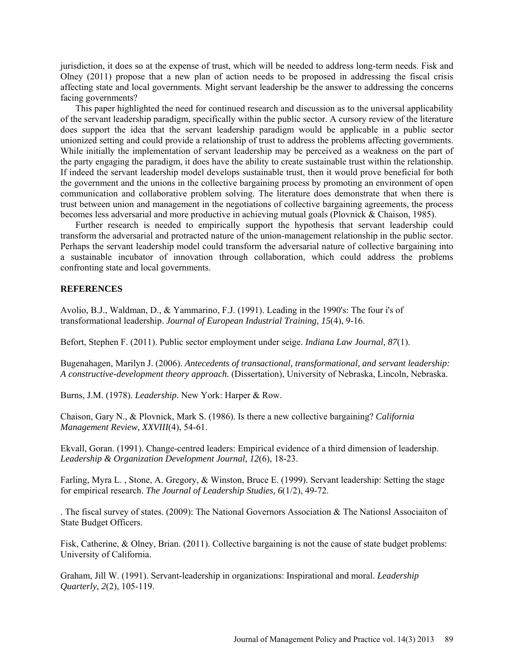jurisdiction, it does so at the expense of trust, which will be needed to address long-term needs. Fisk and Olney (2011) propose that a new plan of action needs to be proposed in addressing the fiscal crisis affecting state and local governments. Might servant leadership be the answer to addressing the concerns facing governments?

This paper highlighted the need for continued research and discussion as to the universal applicability of the servant leadership paradigm, specifically within the public sector. A cursory review of the literature does support the idea that the servant leadership paradigm would be applicable in a public sector unionized setting and could provide a relationship of trust to address the problems affecting governments. While initially the implementation of servant leadership may be perceived as a weakness on the part of the party engaging the paradigm, it does have the ability to create sustainable trust within the relationship. If indeed the servant leadership model develops sustainable trust, then it would prove beneficial for both the government and the unions in the collective bargaining process by promoting an environment of open communication and collaborative problem solving. The literature does demonstrate that when there is trust between union and management in the negotiations of collective bargaining agreements, the process becomes less adversarial and more productive in achieving mutual goals (Plovnick & Chaison, 1985).

Further research is needed to empirically support the hypothesis that servant leadership could transform the adversarial and protracted nature of the union-management relationship in the public sector. Perhaps the servant leadership model could transform the adversarial nature of collective bargaining into a sustainable incubator of innovation through collaboration, which could address the problems confronting state and local governments.

## **REFERENCES**

Avolio, B.J., Waldman, D., & Yammarino, F.J. (1991). Leading in the 1990's: The four i's of transformational leadership. *Journal of European Industrial Training, 15*(4), 9-16.

Befort, Stephen F. (2011). Public sector employment under seige. *Indiana Law Journal, 87*(1).

Bugenahagen, Marilyn J. (2006). *Antecedents of transactional, transformational, and servant leadership: A constructive-development theory approach.* (Dissertation), University of Nebraska, Lincoln, Nebraska.

Burns, J.M. (1978). *Leadership*. New York: Harper & Row.

Chaison, Gary N., & Plovnick, Mark S. (1986). Is there a new collective bargaining? *California Management Review, XXVIII*(4), 54-61.

Ekvall, Goran. (1991). Change-centred leaders: Empirical evidence of a third dimension of leadership. *Leadership & Organization Development Journal, 12*(6), 18-23.

Farling, Myra L. , Stone, A. Gregory, & Winston, Bruce E. (1999). Servant leadership: Setting the stage for empirical research. *The Journal of Leadership Studies, 6*(1/2), 49-72.

. The fiscal survey of states. (2009): The National Governors Association & The Nationsl Associaiton of State Budget Officers.

Fisk, Catherine, & Olney, Brian. (2011). Collective bargaining is not the cause of state budget problems: University of California.

Graham, Jill W. (1991). Servant-leadership in organizations: Inspirational and moral. *Leadership Quarterly, 2*(2), 105-119.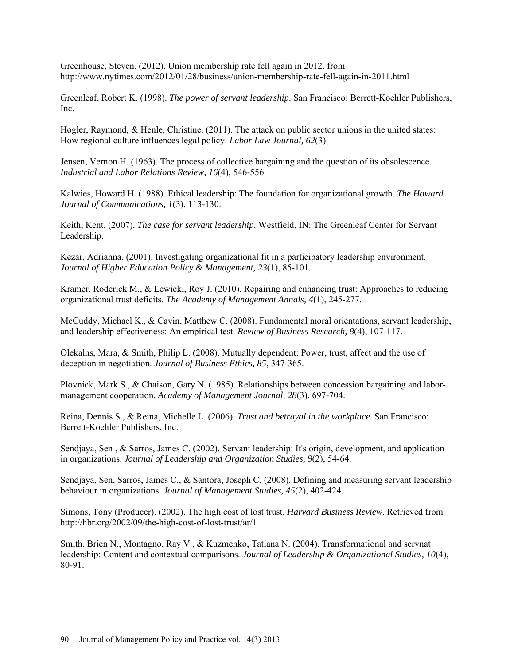Greenhouse, Steven. (2012). Union membership rate fell again in 2012. from <http://www.nytimes.com/2012/01/28/business/union-membership-rate-fell-again-in-2011.html>

Greenleaf, Robert K. (1998). *The power of servant leadership*. San Francisco: Berrett-Koehler Publishers, Inc.

Hogler, Raymond, & Henle, Christine. (2011). The attack on public sector unions in the united states: How regional culture influences legal policy. *Labor Law Journal, 62*(3).

Jensen, Vernon H. (1963). The process of collective bargaining and the question of its obsolescence. *Industrial and Labor Relations Review, 16*(4), 546-556.

Kalwies, Howard H. (1988). Ethical leadership: The foundation for organizational growth. *The Howard Journal of Communications, 1*(3), 113-130.

Keith, Kent. (2007). *The case for servant leadership*. Westfield, IN: The Greenleaf Center for Servant Leadership.

Kezar, Adrianna. (2001). Investigating organizational fit in a participatory leadership environment. *Journal of Higher Education Policy & Management, 23*(1), 85-101.

Kramer, Roderick M., & Lewicki, Roy J. (2010). Repairing and enhancing trust: Approaches to reducing organizational trust deficits. *The Academy of Management Annals, 4*(1), 245-277.

McCuddy, Michael K., & Cavin, Matthew C. (2008). Fundamental moral orientations, servant leadership, and leadership effectiveness: An empirical test. *Review of Business Research, 8*(4), 107-117.

Olekalns, Mara, & Smith, Philip L. (2008). Mutually dependent: Power, trust, affect and the use of deception in negotiation. *Journal of Business Ethics, 85*, 347-365.

Plovnick, Mark S., & Chaison, Gary N. (1985). Relationships between concession bargaining and labormanagement cooperation. *Academy of Management Journal, 28*(3), 697-704.

Reina, Dennis S., & Reina, Michelle L. (2006). *Trust and betrayal in the workplace*. San Francisco: Berrett-Koehler Publishers, Inc.

Sendjaya, Sen , & Sarros, James C. (2002). Servant leadership: It's origin, development, and application in organizations. *Journal of Leadership and Organization Studies, 9*(2), 54-64.

Sendjaya, Sen, Sarros, James C., & Santora, Joseph C. (2008). Defining and measuring servant leadership behaviour in organizations. *Journal of Management Studies, 45*(2), 402-424.

Simons, Tony (Producer). (2002). The high cost of lost trust. *Harvard Business Review*. Retrieved from <http://hbr.org/2002/09/the-high-cost-of-lost-trust/ar/1>

Smith, Brien N., Montagno, Ray V., & Kuzmenko, Tatiana N. (2004). Transformational and servnat leadership: Content and contextual comparisons. *Journal of Leadership & Organizational Studies, 10*(4), 80-91.